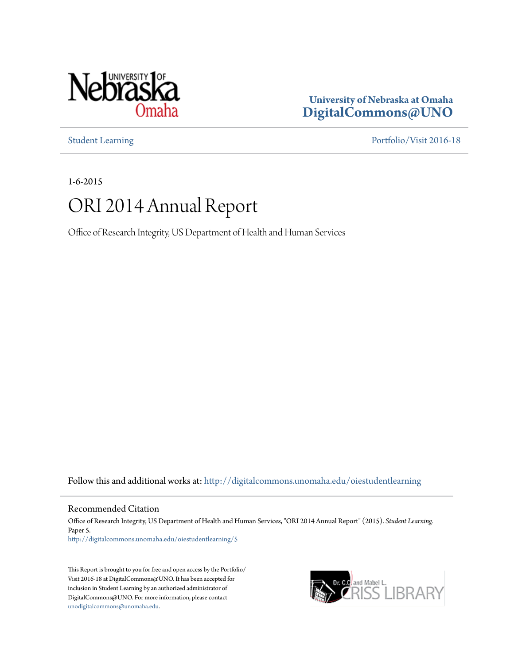

**University of Nebraska at Omaha [DigitalCommons@UNO](http://digitalcommons.unomaha.edu?utm_source=digitalcommons.unomaha.edu%2Foiestudentlearning%2F5&utm_medium=PDF&utm_campaign=PDFCoverPages)**

[Student Learning](http://digitalcommons.unomaha.edu/oiestudentlearning?utm_source=digitalcommons.unomaha.edu%2Foiestudentlearning%2F5&utm_medium=PDF&utm_campaign=PDFCoverPages) [Portfolio/Visit 2016-18](http://digitalcommons.unomaha.edu/oieportfolio?utm_source=digitalcommons.unomaha.edu%2Foiestudentlearning%2F5&utm_medium=PDF&utm_campaign=PDFCoverPages)

1-6-2015

# ORI 2014 Annual Report

Office of Research Integrity, US Department of Health and Human Services

Follow this and additional works at: [http://digitalcommons.unomaha.edu/oiestudentlearning](http://digitalcommons.unomaha.edu/oiestudentlearning?utm_source=digitalcommons.unomaha.edu%2Foiestudentlearning%2F5&utm_medium=PDF&utm_campaign=PDFCoverPages)

Recommended Citation

Office of Research Integrity, US Department of Health and Human Services, "ORI 2014 Annual Report" (2015). *Student Learning.* Paper 5. [http://digitalcommons.unomaha.edu/oiestudentlearning/5](http://digitalcommons.unomaha.edu/oiestudentlearning/5?utm_source=digitalcommons.unomaha.edu%2Foiestudentlearning%2F5&utm_medium=PDF&utm_campaign=PDFCoverPages)

This Report is brought to you for free and open access by the Portfolio/ Visit 2016-18 at DigitalCommons@UNO. It has been accepted for inclusion in Student Learning by an authorized administrator of DigitalCommons@UNO. For more information, please contact [unodigitalcommons@unomaha.edu](mailto:unodigitalcommons@unomaha.edu).

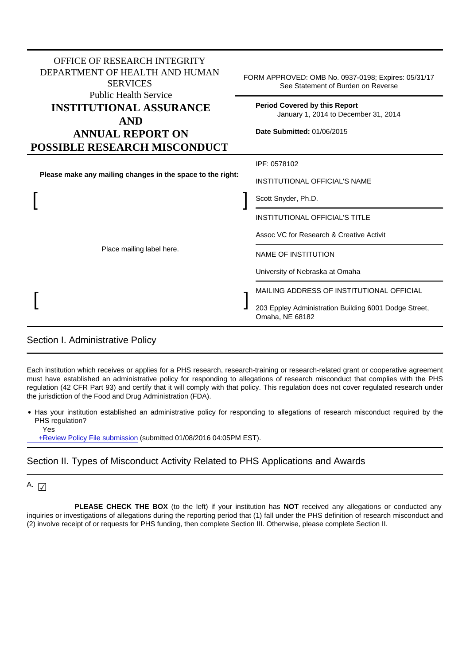| <b>OFFICE OF RESEARCH INTEGRITY</b><br>DEPARTMENT OF HEALTH AND HUMAN<br><b>SERVICES</b><br><b>Public Health Service</b> | FORM APPROVED: OMB No. 0937-0198; Expires: 05/31/17<br>See Statement of Burden on Reverse                                                                                              |  |  |
|--------------------------------------------------------------------------------------------------------------------------|----------------------------------------------------------------------------------------------------------------------------------------------------------------------------------------|--|--|
| <b>INSTITUTIONAL ASSURANCE</b><br><b>AND</b><br><b>ANNUAL REPORT ON</b><br><b>POSSIBLE RESEARCH MISCONDUCT</b>           | <b>Period Covered by this Report</b><br>January 1, 2014 to December 31, 2014<br>Date Submitted: 01/06/2015                                                                             |  |  |
| Please make any mailing changes in the space to the right:                                                               | IPF: 0578102<br><b>INSTITUTIONAL OFFICIAL'S NAME</b><br>Scott Snyder, Ph.D.                                                                                                            |  |  |
| Place mailing label here.                                                                                                | <b>INSTITUTIONAL OFFICIAL'S TITLE</b><br>Assoc VC for Research & Creative Activit                                                                                                      |  |  |
|                                                                                                                          | <b>NAME OF INSTITUTION</b><br>University of Nebraska at Omaha<br>MAILING ADDRESS OF INSTITUTIONAL OFFICIAL<br>203 Eppley Administration Building 6001 Dodge Street,<br>Omaha, NE 68182 |  |  |

### Section I. Administrative Policy

Each institution which receives or applies for a PHS research, research-training or research-related grant or cooperative agreement must have established an administrative policy for responding to allegations of research misconduct that complies with the PHS regulation (42 CFR Part 93) and certify that it will comply with that policy. This regulation does not cover regulated research under the jurisdiction of the Food and Drug Administration (FDA).

Has your institution established an administrative policy for responding to allegations of research misconduct required by the PHS regulation?

Yes

 [+Review Policy File submission](UserPolicySubmission.php) (submitted 01/08/2016 04:05PM EST).

## Section II. Types of Misconduct Activity Related to PHS Applications and Awards

# A.  $\sqrt{\sqrt{2}}$

**PLEASE CHECK THE BOX** (to the left) if your institution has **NOT** received any allegations or conducted any inquiries or investigations of allegations during the reporting period that (1) fall under the PHS definition of research misconduct and (2) involve receipt of or requests for PHS funding, then complete Section III. Otherwise, please complete Section II.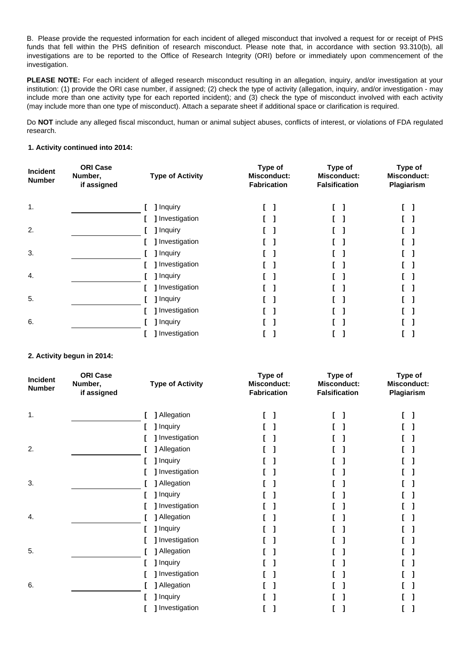B. Please provide the requested information for each incident of alleged misconduct that involved a request for or receipt of PHS funds that fell within the PHS definition of research misconduct. Please note that, in accordance with section 93.310(b), all investigations are to be reported to the Office of Research Integrity (ORI) before or immediately upon commencement of the investigation.

PLEASE NOTE: For each incident of alleged research misconduct resulting in an allegation, inquiry, and/or investigation at your institution: (1) provide the ORI case number, if assigned; (2) check the type of activity (allegation, inquiry, and/or investigation - may include more than one activity type for each reported incident); and (3) check the type of misconduct involved with each activity (may include more than one type of misconduct). Attach a separate sheet if additional space or clarification is required.

Do **NOT** include any alleged fiscal misconduct, human or animal subject abuses, conflicts of interest, or violations of FDA regulated research.

#### **1. Activity continued into 2014:**

| Incident<br><b>Number</b> | <b>ORI Case</b><br>Number,<br>if assigned | <b>Type of Activity</b> | Type of<br><b>Misconduct:</b><br><b>Fabrication</b> | Type of<br><b>Misconduct:</b><br><b>Falsification</b> | Type of<br><b>Misconduct:</b><br>Plagiarism |
|---------------------------|-------------------------------------------|-------------------------|-----------------------------------------------------|-------------------------------------------------------|---------------------------------------------|
| 1.                        |                                           | <b>J</b> Inquiry        |                                                     |                                                       |                                             |
|                           |                                           | ] Investigation         |                                                     |                                                       |                                             |
| 2.                        |                                           | ] Inquiry               |                                                     |                                                       |                                             |
|                           |                                           | ] Investigation         |                                                     |                                                       |                                             |
| 3.                        |                                           | <b>] Inquiry</b>        |                                                     |                                                       |                                             |
|                           |                                           | ] Investigation         |                                                     |                                                       |                                             |
| 4.                        |                                           | <b>] Inquiry</b>        |                                                     |                                                       |                                             |
|                           |                                           | ] Investigation         |                                                     |                                                       |                                             |
| 5.                        |                                           | ] Inquiry               |                                                     |                                                       |                                             |
|                           |                                           | ] Investigation         |                                                     |                                                       |                                             |
| 6.                        |                                           | 1 Inquiry               |                                                     |                                                       |                                             |
|                           |                                           | Investigation           |                                                     |                                                       |                                             |

#### **2. Activity begun in 2014:**

| Incident<br><b>Number</b> | <b>ORI Case</b><br>Number,<br>if assigned | <b>Type of Activity</b> | Type of<br><b>Misconduct:</b><br><b>Fabrication</b> | Type of<br>Misconduct:<br><b>Falsification</b> | Type of<br><b>Misconduct:</b><br>Plagiarism |
|---------------------------|-------------------------------------------|-------------------------|-----------------------------------------------------|------------------------------------------------|---------------------------------------------|
| 1.                        |                                           | <b>]</b> Allegation     |                                                     | 1                                              |                                             |
|                           |                                           | I Inquiry               |                                                     |                                                |                                             |
|                           |                                           | I Investigation         |                                                     |                                                |                                             |
| 2.                        |                                           | ] Allegation            |                                                     |                                                |                                             |
|                           |                                           | I Inquiry               |                                                     |                                                |                                             |
|                           |                                           | ] Investigation         |                                                     |                                                |                                             |
| 3.                        |                                           | ] Allegation            |                                                     |                                                |                                             |
|                           |                                           | ] Inquiry               |                                                     |                                                |                                             |
|                           |                                           | ] Investigation         |                                                     |                                                |                                             |
| 4.                        |                                           | ] Allegation            |                                                     |                                                |                                             |
|                           |                                           | 1 Inquiry               |                                                     |                                                |                                             |
|                           |                                           | ] Investigation         |                                                     |                                                |                                             |
| 5.                        |                                           | ] Allegation            |                                                     |                                                |                                             |
|                           |                                           | ] Inquiry               |                                                     |                                                |                                             |
|                           |                                           | I Investigation         |                                                     |                                                |                                             |
| 6.                        |                                           | ] Allegation            |                                                     |                                                |                                             |
|                           |                                           | ] Inquiry               |                                                     |                                                |                                             |
|                           |                                           | ] Investigation         |                                                     |                                                |                                             |